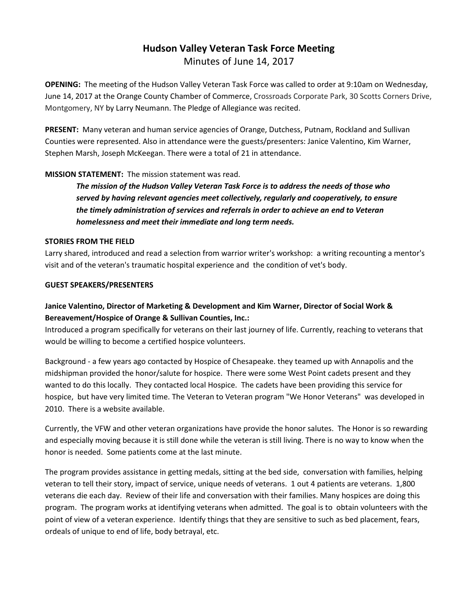# **Hudson Valley Veteran Task Force Meeting**  Minutes of June 14, 2017

**OPENING:** The meeting of the Hudson Valley Veteran Task Force was called to order at 9:10am on Wednesday, June 14, 2017 at the Orange County Chamber of Commerce, Crossroads Corporate Park, 30 Scotts Corners Drive, Montgomery, NY by Larry Neumann. The Pledge of Allegiance was recited.

**PRESENT:** Many veteran and human service agencies of Orange, Dutchess, Putnam, Rockland and Sullivan Counties were represented. Also in attendance were the guests/presenters: Janice Valentino, Kim Warner, Stephen Marsh, Joseph McKeegan. There were a total of 21 in attendance.

#### **MISSION STATEMENT:** The mission statement was read.

*The mission of the Hudson Valley Veteran Task Force is to address the needs of those who served by having relevant agencies meet collectively, regularly and cooperatively, to ensure the timely administration of services and referrals in order to achieve an end to Veteran homelessness and meet their immediate and long term needs.* 

#### **STORIES FROM THE FIELD**

Larry shared, introduced and read a selection from warrior writer's workshop: a writing recounting a mentor's visit and of the veteran's traumatic hospital experience and the condition of vet's body.

#### **GUEST SPEAKERS/PRESENTERS**

# **Janice Valentino, Director of Marketing & Development and Kim Warner, Director of Social Work & Bereavement/Hospice of Orange & Sullivan Counties, Inc.:**

Introduced a program specifically for veterans on their last journey of life. Currently, reaching to veterans that would be willing to become a certified hospice volunteers.

Background - a few years ago contacted by Hospice of Chesapeake. they teamed up with Annapolis and the midshipman provided the honor/salute for hospice. There were some West Point cadets present and they wanted to do this locally. They contacted local Hospice. The cadets have been providing this service for hospice, but have very limited time. The Veteran to Veteran program "We Honor Veterans" was developed in 2010. There is a website available.

Currently, the VFW and other veteran organizations have provide the honor salutes. The Honor is so rewarding and especially moving because it is still done while the veteran is still living. There is no way to know when the honor is needed. Some patients come at the last minute.

The program provides assistance in getting medals, sitting at the bed side, conversation with families, helping veteran to tell their story, impact of service, unique needs of veterans. 1 out 4 patients are veterans. 1,800 veterans die each day. Review of their life and conversation with their families. Many hospices are doing this program. The program works at identifying veterans when admitted. The goal is to obtain volunteers with the point of view of a veteran experience. Identify things that they are sensitive to such as bed placement, fears, ordeals of unique to end of life, body betrayal, etc.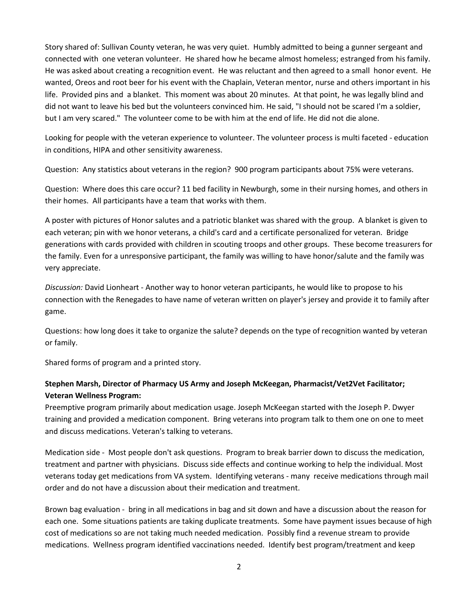Story shared of: Sullivan County veteran, he was very quiet. Humbly admitted to being a gunner sergeant and connected with one veteran volunteer. He shared how he became almost homeless; estranged from his family. He was asked about creating a recognition event. He was reluctant and then agreed to a small honor event. He wanted, Oreos and root beer for his event with the Chaplain, Veteran mentor, nurse and others important in his life. Provided pins and a blanket. This moment was about 20 minutes. At that point, he was legally blind and did not want to leave his bed but the volunteers convinced him. He said, "I should not be scared I'm a soldier, but I am very scared." The volunteer come to be with him at the end of life. He did not die alone.

Looking for people with the veteran experience to volunteer. The volunteer process is multi faceted - education in conditions, HIPA and other sensitivity awareness.

Question: Any statistics about veterans in the region? 900 program participants about 75% were veterans.

Question: Where does this care occur? 11 bed facility in Newburgh, some in their nursing homes, and others in their homes. All participants have a team that works with them.

A poster with pictures of Honor salutes and a patriotic blanket was shared with the group. A blanket is given to each veteran; pin with we honor veterans, a child's card and a certificate personalized for veteran. Bridge generations with cards provided with children in scouting troops and other groups. These become treasurers for the family. Even for a unresponsive participant, the family was willing to have honor/salute and the family was very appreciate.

*Discussion:* David Lionheart - Another way to honor veteran participants, he would like to propose to his connection with the Renegades to have name of veteran written on player's jersey and provide it to family after game.

Questions: how long does it take to organize the salute? depends on the type of recognition wanted by veteran or family.

Shared forms of program and a printed story.

# **Stephen Marsh, Director of Pharmacy US Army and Joseph McKeegan, Pharmacist/Vet2Vet Facilitator; Veteran Wellness Program:**

Preemptive program primarily about medication usage. Joseph McKeegan started with the Joseph P. Dwyer training and provided a medication component. Bring veterans into program talk to them one on one to meet and discuss medications. Veteran's talking to veterans.

Medication side - Most people don't ask questions. Program to break barrier down to discuss the medication, treatment and partner with physicians. Discuss side effects and continue working to help the individual. Most veterans today get medications from VA system. Identifying veterans - many receive medications through mail order and do not have a discussion about their medication and treatment.

Brown bag evaluation - bring in all medications in bag and sit down and have a discussion about the reason for each one. Some situations patients are taking duplicate treatments. Some have payment issues because of high cost of medications so are not taking much needed medication. Possibly find a revenue stream to provide medications. Wellness program identified vaccinations needed. Identify best program/treatment and keep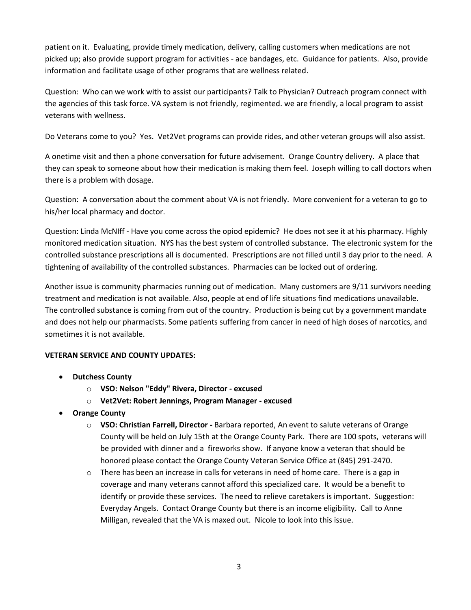patient on it. Evaluating, provide timely medication, delivery, calling customers when medications are not picked up; also provide support program for activities - ace bandages, etc. Guidance for patients. Also, provide information and facilitate usage of other programs that are wellness related.

Question: Who can we work with to assist our participants? Talk to Physician? Outreach program connect with the agencies of this task force. VA system is not friendly, regimented. we are friendly, a local program to assist veterans with wellness.

Do Veterans come to you? Yes. Vet2Vet programs can provide rides, and other veteran groups will also assist.

A onetime visit and then a phone conversation for future advisement. Orange Country delivery. A place that they can speak to someone about how their medication is making them feel. Joseph willing to call doctors when there is a problem with dosage.

Question: A conversation about the comment about VA is not friendly. More convenient for a veteran to go to his/her local pharmacy and doctor.

Question: Linda McNIff - Have you come across the opiod epidemic? He does not see it at his pharmacy. Highly monitored medication situation. NYS has the best system of controlled substance. The electronic system for the controlled substance prescriptions all is documented. Prescriptions are not filled until 3 day prior to the need. A tightening of availability of the controlled substances. Pharmacies can be locked out of ordering.

Another issue is community pharmacies running out of medication. Many customers are 9/11 survivors needing treatment and medication is not available. Also, people at end of life situations find medications unavailable. The controlled substance is coming from out of the country. Production is being cut by a government mandate and does not help our pharmacists. Some patients suffering from cancer in need of high doses of narcotics, and sometimes it is not available.

# **VETERAN SERVICE AND COUNTY UPDATES:**

- **Dutchess County**
	- o **VSO: Nelson "Eddy" Rivera, Director - excused**
	- o **Vet2Vet: Robert Jennings, Program Manager - excused**
- **Orange County**
	- o **VSO: Christian Farrell, Director -** Barbara reported, An event to salute veterans of Orange County will be held on July 15th at the Orange County Park. There are 100 spots, veterans will be provided with dinner and a fireworks show. If anyone know a veteran that should be honored please contact the Orange County Veteran Service Office at (845) 291-2470.
	- o There has been an increase in calls for veterans in need of home care. There is a gap in coverage and many veterans cannot afford this specialized care. It would be a benefit to identify or provide these services. The need to relieve caretakers is important. Suggestion: Everyday Angels. Contact Orange County but there is an income eligibility. Call to Anne Milligan, revealed that the VA is maxed out. Nicole to look into this issue.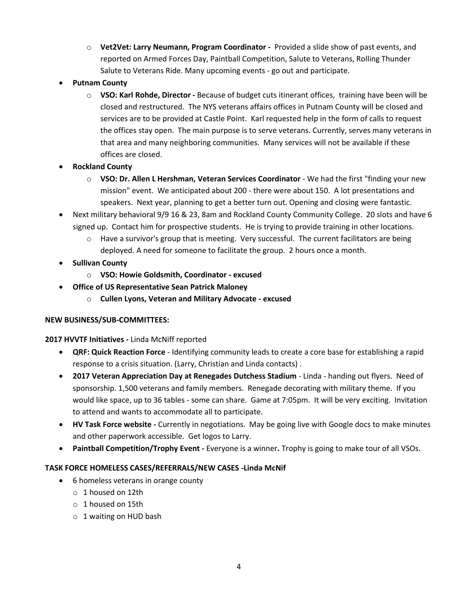- o **Vet2Vet: Larry Neumann, Program Coordinator -** Provided a slide show of past events, and reported on Armed Forces Day, Paintball Competition, Salute to Veterans, Rolling Thunder Salute to Veterans Ride. Many upcoming events - go out and participate.
- **Putnam County**
	- o **VSO: Karl Rohde, Director -** Because of budget cuts itinerant offices, training have been will be closed and restructured. The NYS veterans affairs offices in Putnam County will be closed and services are to be provided at Castle Point. Karl requested help in the form of calls to request the offices stay open. The main purpose is to serve veterans. Currently, serves many veterans in that area and many neighboring communities. Many services will not be available if these offices are closed.
- **Rockland County**
	- o **VSO: Dr. Allen L Hershman, Veteran Services Coordinator** We had the first "finding your new mission" event. We anticipated about 200 - there were about 150. A lot presentations and speakers. Next year, planning to get a better turn out. Opening and closing were fantastic.
- Next military behavioral 9/9 16 & 23, 8am and Rockland County Community College. 20 slots and have 6 signed up. Contact him for prospective students. He is trying to provide training in other locations.
	- o Have a survivor's group that is meeting. Very successful. The current facilitators are being deployed. A need for someone to facilitate the group. 2 hours once a month.
- **Sullivan County**
	- o **VSO: Howie Goldsmith, Coordinator - excused**
- **Office of US Representative Sean Patrick Maloney**
	- o **Cullen Lyons, Veteran and Military Advocate - excused**

# **NEW BUSINESS/SUB-COMMITTEES:**

# **2017 HVVTF Initiatives -** Linda McNiff reported

- **QRF: Quick Reaction Force** Identifying community leads to create a core base for establishing a rapid response to a crisis situation. (Larry, Christian and Linda contacts) .
- **2017 Veteran Appreciation Day at Renegades Dutchess Stadium** Linda handing out flyers. Need of sponsorship. 1,500 veterans and family members. Renegade decorating with military theme. If you would like space, up to 36 tables - some can share. Game at 7:05pm. It will be very exciting. Invitation to attend and wants to accommodate all to participate.
- **HV Task Force website -** Currently in negotiations. May be going live with Google docs to make minutes and other paperwork accessible. Get logos to Larry.
- **Paintball Competition/Trophy Event -** Everyone is a winner**.** Trophy is going to make tour of all VSOs.

# **TASK FORCE HOMELESS CASES/REFERRALS/NEW CASES -Linda McNif**

- 6 homeless veterans in orange county
	- o 1 housed on 12th
	- o 1 housed on 15th
	- o 1 waiting on HUD bash